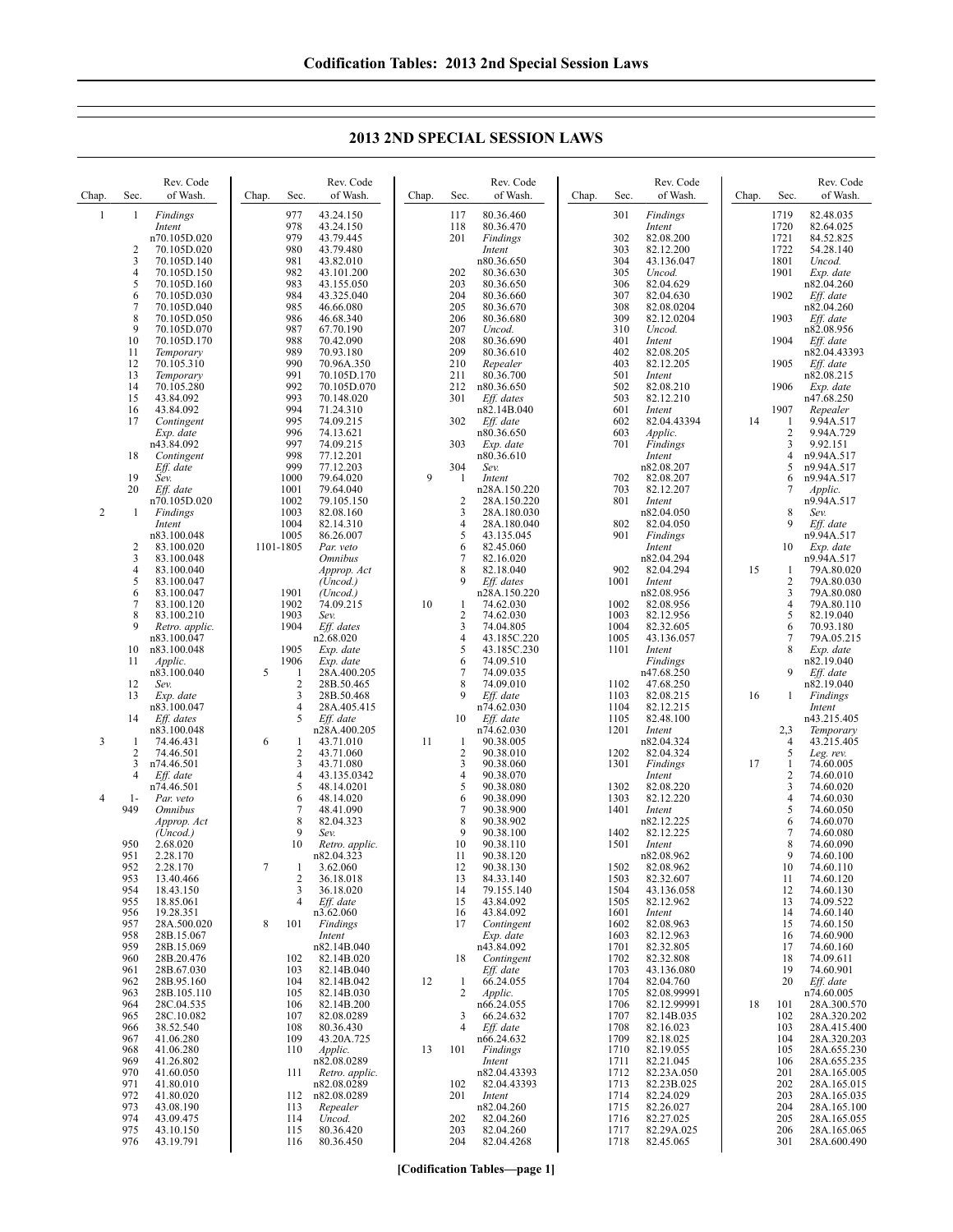## **2013 2ND SPECIAL SESSION LAWS**

| Chap.          | Sec.        | Rev. Code<br>of Wash.              | Chap. | Sec.                | Rev. Code<br>of Wash.               | Chap. | Sec.                | Rev. Code<br>of Wash.              | Chap. | Sec.         | Rev. Code<br>of Wash.           | Chap. | Sec.                  | Rev. Code<br>of Wash.               |
|----------------|-------------|------------------------------------|-------|---------------------|-------------------------------------|-------|---------------------|------------------------------------|-------|--------------|---------------------------------|-------|-----------------------|-------------------------------------|
| $\mathbf{1}$   | 1           | Findings<br>Intent<br>n70.105D.020 |       | 977<br>978<br>979   | 43.24.150<br>43.24.150<br>43.79.445 |       | 117<br>118<br>201   | 80.36.460<br>80.36.470<br>Findings |       | 301<br>302   | Findings<br>Intent<br>82.08.200 |       | 1719<br>1720<br>1721  | 82.48.035<br>82.64.025<br>84.52.825 |
|                | 2<br>3      | 70.105D.020<br>70.105D.140         |       | 980<br>981          | 43.79.480<br>43.82.010              |       |                     | Intent<br>n80.36.650               |       | 303<br>304   | 82.12.200<br>43.136.047         |       | 1722<br>1801          | 54.28.140<br>Uncod.                 |
|                | 4<br>5      | 70.105D.150<br>70.105D.160         |       | 982<br>983          | 43.101.200<br>43.155.050            |       | 202<br>203          | 80.36.630<br>80.36.650             |       | 305<br>306   | Uncod.<br>82.04.629             |       | 1901                  | Exp. date<br>n82.04.260             |
|                | 6<br>7      | 70.105D.030<br>70.105D.040         |       | 984<br>985          | 43.325.040<br>46.66.080             |       | 204<br>205          | 80.36.660<br>80.36.670             |       | 307<br>308   | 82.04.630<br>82.08.0204         |       | 1902                  | Eff. date<br>n82.04.260             |
|                | 8<br>9      | 70.105D.050<br>70.105D.070         |       | 986<br>987          | 46.68.340<br>67.70.190              |       | 206<br>207          | 80.36.680<br>Uncod.                |       | 309<br>310   | 82.12.0204<br>Uncod.            |       | 1903                  | Eff. date<br>n82.08.956             |
|                | 10<br>11    | 70.105D.170                        |       | 988<br>989          | 70.42.090<br>70.93.180              |       | 208<br>209          | 80.36.690<br>80.36.610             |       | 401<br>402   | Intent<br>82.08.205             |       | 1904                  | Eff. date<br>n82.04.43393           |
|                | 12          | Temporary<br>70.105.310            |       | 990<br>991          | 70.96A.350                          |       | 210                 | Repealer                           |       | 403          | 82.12.205                       |       | 1905                  | Eff. date                           |
|                | 13<br>14    | Temporary<br>70.105.280            |       | 992                 | 70.105D.170<br>70.105D.070          |       | 211<br>212          | 80.36.700<br>n80.36.650            |       | 501<br>502   | Intent<br>82.08.210             |       | 1906                  | n82.08.215<br>Exp. date             |
|                | 15<br>16    | 43.84.092<br>43.84.092             |       | 993<br>994          | 70.148.020<br>71.24.310             |       | 301                 | Eff. dates<br>n82.14B.040          |       | 503<br>601   | 82.12.210<br>Intent             |       | 1907                  | n47.68.250<br>Repealer              |
|                | 17          | Contingent<br>Exp. date            |       | 995<br>996          | 74.09.215<br>74.13.621              |       | 302                 | Eff. date<br>n80.36.650            |       | 602<br>603   | 82.04.43394<br>Applic.          | 14    | 1<br>$\overline{2}$   | 9.94A.517<br>9.94A.729              |
|                | 18          | n43.84.092<br>Contingent           |       | 997<br>998          | 74.09.215<br>77.12.201              |       | 303                 | Exp. date<br>n80.36.610            |       | 701          | Findings<br>Intent              |       | 3<br>$\overline{4}$   | 9.92.151<br>n9.94A.517              |
|                | 19          | Eff. date<br>Sev.                  |       | 999<br>1000         | 77.12.203<br>79.64.020              | 9     | 304<br>1            | Sev.<br>Intent                     |       | 702          | n82.08.207<br>82.08.207         |       | 5<br>6                | n9.94A.517<br>n9.94A.517            |
|                | 20          | Eff. date<br>n70.105D.020          |       | 1001<br>1002        | 79.64.040<br>79.105.150             |       | 2                   | n28A.150.220<br>28A.150.220        |       | 703<br>801   | 82.12.207<br>Intent             |       | 7                     | Applic.<br>n9.94A.517               |
| 2              | 1           | Findings<br>Intent                 |       | 1003<br>1004        | 82.08.160<br>82.14.310              |       | 3<br>4              | 28A.180.030<br>28A.180.040         |       | 802          | n82.04.050<br>82.04.050         |       | 8<br>9                | Sev.<br>Eff. date                   |
|                | 2           | n83.100.048<br>83.100.020          |       | 1005<br>1101-1805   | 86.26.007<br>Par. veto              |       | 5<br>6              | 43.135.045<br>82.45.060            |       | 901          | Findings<br>Intent              |       | 10                    | n9.94A.517<br>Exp. date             |
|                | 3<br>4      | 83.100.048<br>83.100.040           |       |                     | <b>Omnibus</b><br>Approp. Act       |       | 7<br>8              | 82.16.020<br>82.18.040             |       | 902          | n82.04.294<br>82.04.294         | 15    | 1                     | n9.94A.517<br>79A.80.020            |
|                | 5<br>6      | 83.100.047<br>83.100.047           |       | 1901                | (Uncod.)<br>(Uncod.)                |       | 9                   | Eff. dates<br>n28A.150.220         |       | 1001         | Intent<br>n82.08.956            |       | $\overline{2}$<br>3   | 79A.80.030<br>79A.80.080            |
|                | 7<br>8      | 83.100.120<br>83.100.210           |       | 1902<br>1903        | 74.09.215<br>Sev.                   | 10    | 1<br>$\overline{c}$ | 74.62.030<br>74.62.030             |       | 1002<br>1003 | 82.08.956<br>82.12.956          |       | $\overline{4}$<br>5   | 79A.80.110<br>82.19.040             |
|                | 9           | Retro. applic.<br>n83.100.047      |       | 1904                | Eff. dates<br>n2.68.020             |       | 3<br>4              | 74.04.805<br>43.185C.220           |       | 1004<br>1005 | 82.32.605<br>43.136.057         |       | 6<br>7                | 70.93.180<br>79A.05.215             |
|                | 10<br>11    | n83.100.048                        |       | 1905<br>1906        | Exp. date<br>Exp. date              |       | 5<br>6              | 43.185C.230<br>74.09.510           |       | 1101         | Intent<br>Findings              |       | 8                     | Exp. date<br>n82.19.040             |
|                | 12          | Applic.<br>n83.100.040             | 5     | 1<br>2              | 28A.400.205                         |       | 7<br>8              | 74.09.035                          |       |              | n47.68.250                      |       | 9                     | Eff. date                           |
|                | 13          | Sev.<br>Exp. date                  |       | 3                   | 28B.50.465<br>28B.50.468            |       | 9                   | 74.09.010<br>Eff. date             |       | 1102<br>1103 | 47.68.250<br>82.08.215          | 16    | 1                     | n82.19.040<br>Findings              |
|                | 14          | n83.100.047<br>Eff. dates          |       | $\overline{4}$<br>5 | 28A.405.415<br>Eff. date            |       | 10                  | n74.62.030<br>Eff. date            |       | 1104<br>1105 | 82.12.215<br>82.48.100          |       |                       | Intent<br>n43.215.405               |
| 3              | 1           | n83.100.048<br>74.46.431           | 6     | 1                   | n28A.400.205<br>43.71.010           | 11    | -1                  | n74.62.030<br>90.38.005            |       | 1201         | Intent<br>n82.04.324            |       | 2,3<br>$\overline{4}$ | Temporary<br>43.215.405             |
|                | 2<br>3      | 74.46.501<br>n74.46.501            |       | $\overline{2}$<br>3 | 43.71.060<br>43.71.080              |       | 2<br>3              | 90.38.010<br>90.38.060             |       | 1202<br>1301 | 82.04.324<br>Findings           | 17    | 5<br>1                | Leg. rev.<br>74.60.005              |
|                | 4           | Eff. date<br>n74.46.501            |       | $\overline{4}$<br>5 | 43.135.0342<br>48.14.0201           |       | 4<br>5              | 90.38.070<br>90.38.080             |       | 1302         | Intent<br>82.08.220             |       | 2<br>3                | 74.60.010<br>74.60.020              |
| $\overline{4}$ | $1-$<br>949 | Par. veto<br><i><b>Omnibus</b></i> |       | 6<br>7              | 48.14.020<br>48.41.090              |       | 6<br>7              | 90.38.090<br>90.38.900             |       | 1303<br>1401 | 82.12.220<br>Intent             |       | $\overline{4}$<br>5   | 74.60.030<br>74.60.050              |
|                |             | Approp. Act<br>(Uncod.)            |       | 8<br>9              | 82.04.323<br>Sev.                   |       | 8<br>9              | 90.38.902<br>90.38.100             |       | 1402         | n82.12.225<br>82.12.225         |       | 6<br>$\overline{7}$   | 74.60.070<br>74.60.080              |
|                | 950<br>951  | 2.68.020<br>2.28.170               |       | 10                  | Retro. applic.<br>n82.04.323        |       | 10<br>11            | 90.38.110<br>90.38.120             |       | 1501         | Intent<br>n82.08.962            |       | 8<br>9                | 74.60.090<br>74.60.100              |
|                | 952<br>953  | 2.28.170<br>13.40.466              | 7     | $\mathbf{1}$<br>2   | 3.62.060<br>36.18.018               |       | 12<br>13            | 90.38.130<br>84.33.140             |       | 1502<br>1503 | 82.08.962<br>82.32.607          |       | 10<br>11              | 74.60.110<br>74.60.120              |
|                | 954<br>955  | 18.43.150<br>18.85.061             |       | 3<br>$\overline{4}$ | 36.18.020<br>Eff. date              |       | 14<br>15            | 79.155.140<br>43.84.092            |       | 1504<br>1505 | 43.136.058<br>82.12.962         |       | 12<br>13              | 74.60.130<br>74.09.522              |
|                | 956<br>957  | 19.28.351<br>28A.500.020           | 8     | 101                 | n3.62.060<br>Findings               |       | 16<br>17            | 43.84.092<br>Contingent            |       | 1601<br>1602 | Intent<br>82.08.963             |       | 14<br>15              | 74.60.140<br>74.60.150              |
|                | 958<br>959  | 28B.15.067<br>28B.15.069           |       |                     | Intent<br>n82.14B.040               |       |                     | Exp. date<br>n43.84.092            |       | 1603<br>1701 | 82.12.963<br>82.32.805          |       | 16<br>17              | 74.60.900<br>74.60.160              |
|                | 960<br>961  | 28B.20.476<br>28B.67.030           |       | 102<br>103          | 82.14B.020<br>82.14B.040            |       | 18                  | Contingent<br>Eff. date            |       | 1702<br>1703 | 82.32.808<br>43.136.080         |       | 18<br>19              | 74.09.611<br>74.60.901              |
|                | 962<br>963  | 28B.95.160<br>28B.105.110          |       | 104<br>105          | 82.14B.042<br>82.14B.030            | 12    | $\mathbf{1}$<br>2   | 66.24.055<br>Applic.               |       | 1704<br>1705 | 82.04.760<br>82.08.99991        |       | 20                    | Eff. date<br>n74.60.005             |
|                | 964<br>965  | 28C.04.535<br>28C.10.082           |       | 106<br>107          | 82.14B.200<br>82.08.0289            |       | 3                   | n66.24.055<br>66.24.632            |       | 1706<br>1707 | 82.12.99991<br>82.14B.035       | 18    | 101<br>102            | 28A.300.570<br>28A.320.202          |
|                | 966<br>967  | 38.52.540<br>41.06.280             |       | 108<br>109          | 80.36.430<br>43.20A.725             |       | 4                   | Eff. date<br>n66.24.632            |       | 1708<br>1709 | 82.16.023<br>82.18.025          |       | 103<br>104            | 28A.415.400<br>28A.320.203          |
|                | 968<br>969  | 41.06.280<br>41.26.802             |       | 110                 | Applic.<br>n82.08.0289              | 13    | 101                 | <b>Findings</b><br>Intent          |       | 1710<br>1711 | 82.19.055<br>82.21.045          |       | 105<br>106            | 28A.655.230<br>28A.655.235          |
|                | 970<br>971  | 41.60.050<br>41.80.010             |       | 111                 | Retro. applic.<br>n82.08.0289       |       | 102                 | n82.04.43393<br>82.04.43393        |       | 1712<br>1713 | 82.23A.050<br>82.23B.025        |       | 201<br>202            | 28A.165.005<br>28A.165.015          |
|                | 972<br>973  | 41.80.020<br>43.08.190             |       | 112<br>113          | n82.08.0289<br>Repealer             |       | 201                 | Intent<br>n82.04.260               |       | 1714<br>1715 | 82.24.029<br>82.26.027          |       | 203<br>204            | 28A.165.035<br>28A.165.100          |
|                | 974         | 43.09.475                          |       | 114                 | Uncod.                              |       | 202                 | 82.04.260                          |       | 1716         | 82.27.025                       |       | 205                   | 28A.165.055                         |
|                | 975<br>976  | 43.10.150<br>43.19.791             |       | 115<br>116          | 80.36.420<br>80.36.450              |       | 203<br>204          | 82.04.260<br>82.04.4268            |       | 1717<br>1718 | 82.29A.025<br>82.45.065         |       | 206<br>301            | 28A.165.065<br>28A.600.490          |

**[Codification Tables—page 1]**